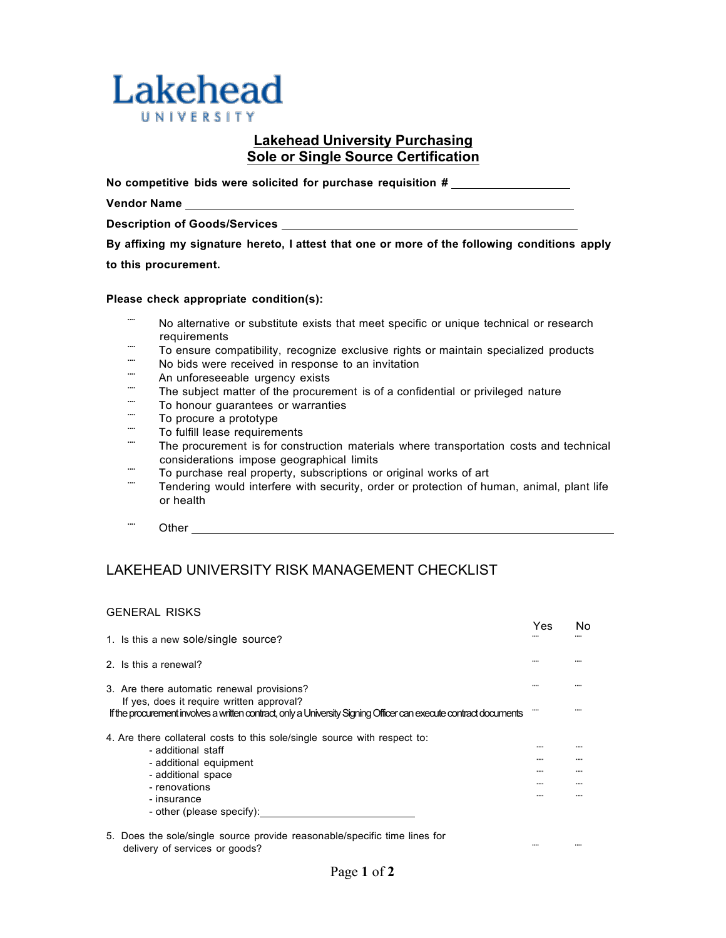

## **Lakehead University Purchasing Sole or Single Source Certification**

**No competitive bids were solicited for purchase requisition #** 

**Vendor Name** 

**Description of Goods/Services** 

**By affixing my signature hereto, I attest that one or more of the following conditions apply to this procurement.**

## **Please check appropriate condition(s):**

- No alternative or substitute exists that meet specific or unique technical or research requirements
- ¨¨ To ensure compatibility, recognize exclusive rights or maintain specialized products
- ¨¨ No bids were received in response to an invitation
- ¨¨ An unforeseeable urgency exists
- ¨¨ The subject matter of the procurement is of a confidential or privileged nature
- ¨¨ To honour guarantees or warranties
- ¨¨ To procure a prototype
- ¨¨ To fulfill lease requirements
- The procurement is for construction materials where transportation costs and technical considerations impose geographical limits
- ¨¨ To purchase real property, subscriptions or original works of art
- Tendering would interfere with security, order or protection of human, animal, plant life or health
- ¨¨ Other

## LAKEHEAD UNIVERSITY RISK MANAGEMENT CHECKLIST

## GENERAL RISKS

| 1. Is this a new sole/single source?                                                                                                                          | <b>Yes</b> | No.      |
|---------------------------------------------------------------------------------------------------------------------------------------------------------------|------------|----------|
| 2. Is this a renewal?                                                                                                                                         | $\cdots$   | $\cdots$ |
| 3. Are there automatic renewal provisions?                                                                                                                    |            |          |
| If yes, does it require written approval?<br>If the procurement involves a written contract, only a University Signing Officer can execute contract documents |            |          |
| 4. Are there collateral costs to this sole/single source with respect to:                                                                                     |            |          |
| - additional staff<br>- additional equipment                                                                                                                  | <br>       | <br>     |
| - additional space                                                                                                                                            |            |          |
| - renovations                                                                                                                                                 |            |          |
| - insurance                                                                                                                                                   |            |          |
| - other (please specify):                                                                                                                                     |            |          |
| 5. Does the sole/single source provide reasonable/specific time lines for<br>delivery of services or goods?                                                   |            |          |